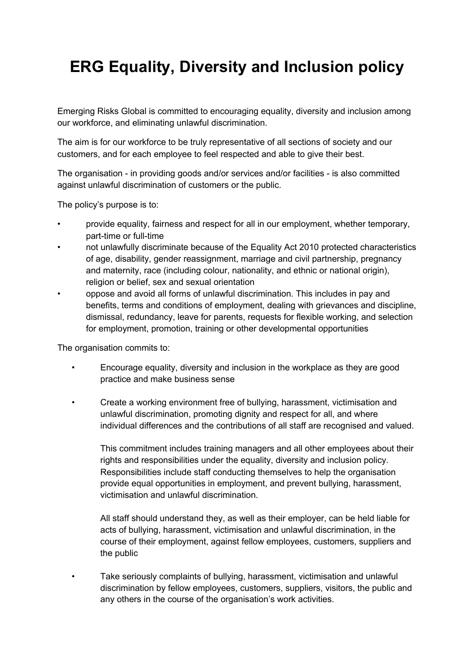## **ERG Equality, Diversity and Inclusion policy**

Emerging Risks Global is committed to encouraging equality, diversity and inclusion among our workforce, and eliminating unlawful discrimination.

The aim is for our workforce to be truly representative of all sections of society and our customers, and for each employee to feel respected and able to give their best.

The organisation - in providing goods and/or services and/or facilities - is also committed against unlawful discrimination of customers or the public.

The policy's purpose is to:

- provide equality, fairness and respect for all in our employment, whether temporary, part-time or full-time
- not unlawfully discriminate because of the Equality Act 2010 protected characteristics of age, disability, gender reassignment, marriage and civil partnership, pregnancy and maternity, race (including colour, nationality, and ethnic or national origin), religion or belief, sex and sexual orientation
- oppose and avoid all forms of unlawful discrimination. This includes in pay and benefits, terms and conditions of employment, dealing with grievances and discipline, dismissal, redundancy, leave for parents, requests for flexible working, and selection for employment, promotion, training or other developmental opportunities

The organisation commits to:

- Encourage equality, diversity and inclusion in the workplace as they are good practice and make business sense
- Create a working environment free of bullying, harassment, victimisation and unlawful discrimination, promoting dignity and respect for all, and where individual differences and the contributions of all staff are recognised and valued.

This commitment includes training managers and all other employees about their rights and responsibilities under the equality, diversity and inclusion policy. Responsibilities include staff conducting themselves to help the organisation provide equal opportunities in employment, and prevent bullying, harassment, victimisation and unlawful discrimination.

All staff should understand they, as well as their employer, can be held liable for acts of bullying, harassment, victimisation and unlawful discrimination, in the course of their employment, against fellow employees, customers, suppliers and the public

• Take seriously complaints of bullying, harassment, victimisation and unlawful discrimination by fellow employees, customers, suppliers, visitors, the public and any others in the course of the organisation's work activities.